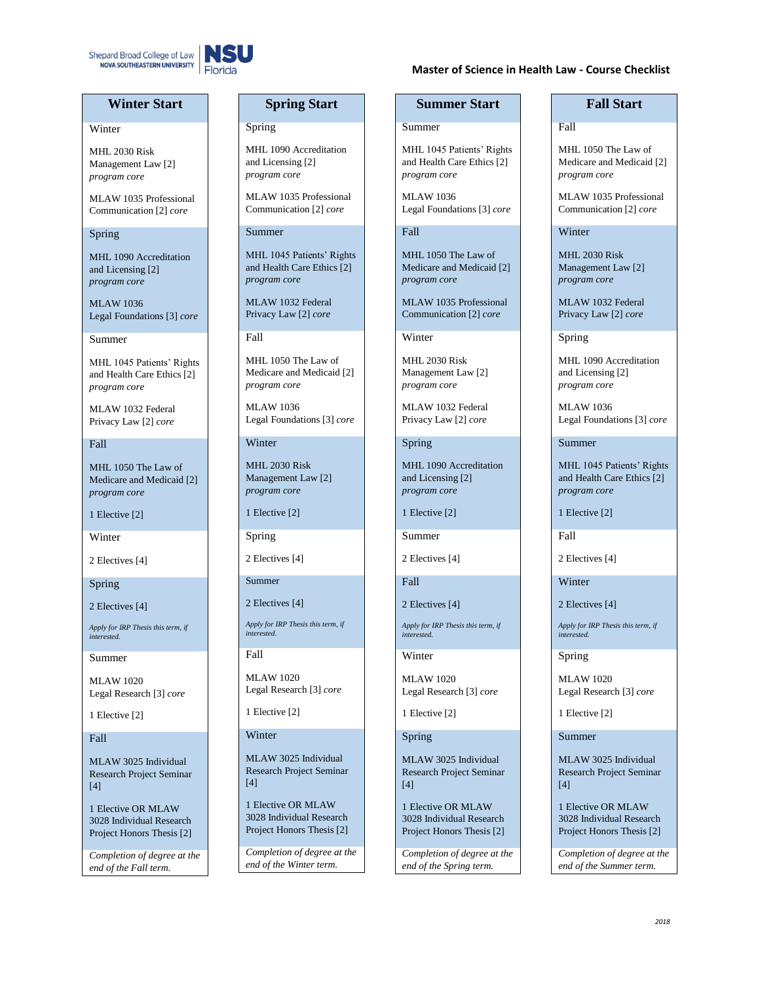

# **Master of Science in Health Law - Course Checklist**

# **Winter Start**

### **Winter**

MHL 2030 Risk Management Law [2] *program core*

MLAW 1035 Professional Communication [2] *core*

### Spring

MHL 1090 Accreditation and Licensing [2] *program core*

MLAW 1036 Legal Foundations [3] *core*

Summer

MHL 1045 Patients' Rights and Health Care Ethics [2] *program core*

MLAW 1032 Federal Privacy Law [2] *core*

### Fall

MHL 1050 The Law of Medicare and Medicaid [2] *program core*

1 Elective [2]

Winter

2 Electives [4]

Spring

2 Electives [4]

*Apply for IRP Thesis this term, if interested.*

Summer

MLAW 1020 Legal Research [3] *core*

1 Elective [2]

Fall

MLAW 3025 Individual Research Project Seminar [4]

1 Elective OR MLAW 3028 Individual Research Project Honors Thesis [2]

*Completion of degree at the end of the Fall term.*

## **Spring Start**

#### Spring

MHL 1090 Accreditation and Licensing [2] *program core*

MLAW 1035 Professional Communication [2] *core*

#### Summer

MHL 1045 Patients' Rights and Health Care Ethics [2] *program core*

MLAW 1032 Federal Privacy Law [2] *core*

#### Fall

MHL 1050 The Law of Medicare and Medicaid [2] *program core*

MLAW 1036 Legal Foundations [3] *core*

# Winter

MHL 2030 Risk Management Law [2] *program core*

1 Elective [2]

Spring

2 Electives [4]

Summer

2 Electives [4]

*Apply for IRP Thesis this term, if interested.*

Fall

MLAW 1020 Legal Research [3] *core*

1 Elective [2]

Winter

MLAW 3025 Individual Research Project Seminar [4]

1 Elective OR MLAW 3028 Individual Research Project Honors Thesis [2]

*Completion of degree at the end of the Winter term.*

### **Summer Start**

Summer

MHL 1045 Patients' Rights and Health Care Ethics [2] *program core*

MLAW 1036 Legal Foundations [3] *core*

# Fall

MHL 1050 The Law of Medicare and Medicaid [2] *program core*

MLAW 1035 Professional Communication [2] *core*

### Winter

MHL 2030 Risk Management Law [2] *program core*

MLAW 1032 Federal Privacy Law [2] *core*

#### Spring

MHL 1090 Accreditation and Licensing [2] *program core*

1 Elective [2]

Summer

2 Electives [4]

Fall

2 Electives [4]

*Apply for IRP Thesis this term, if interested.*

Winter

MLAW 1020 Legal Research [3] *core*

1 Elective [2]

Spring

MLAW 3025 Individual Research Project Seminar [4]

1 Elective OR MLAW 3028 Individual Research Project Honors Thesis [2]

*Completion of degree at the end of the Spring term.*

# **Fall Start**

### Fall

MHL 1050 The Law of Medicare and Medicaid [2] *program core*

MLAW 1035 Professional Communication [2] *core*

### Winter

MHL 2030 Risk Management Law [2] *program core*

MLAW 1032 Federal Privacy Law [2] *core*

### Spring

MHL 1090 Accreditation and Licensing [2] *program core*

MLAW 1036 Legal Foundations [3] *core*

### Summer

MHL 1045 Patients' Rights and Health Care Ethics [2] *program core*

1 Elective [2]

Fall

2 Electives [4]

Winter

2 Electives [4]

*Apply for IRP Thesis this term, if interested.*

Spring

MLAW 1020 Legal Research [3] *core*

MLAW 3025 Individual Research Project Seminar

1 Elective OR MLAW 3028 Individual Research Project Honors Thesis [2] *Completion of degree at the end of the Summer term.*

*2018*

1 Elective [2]

Summer

 $[4]$